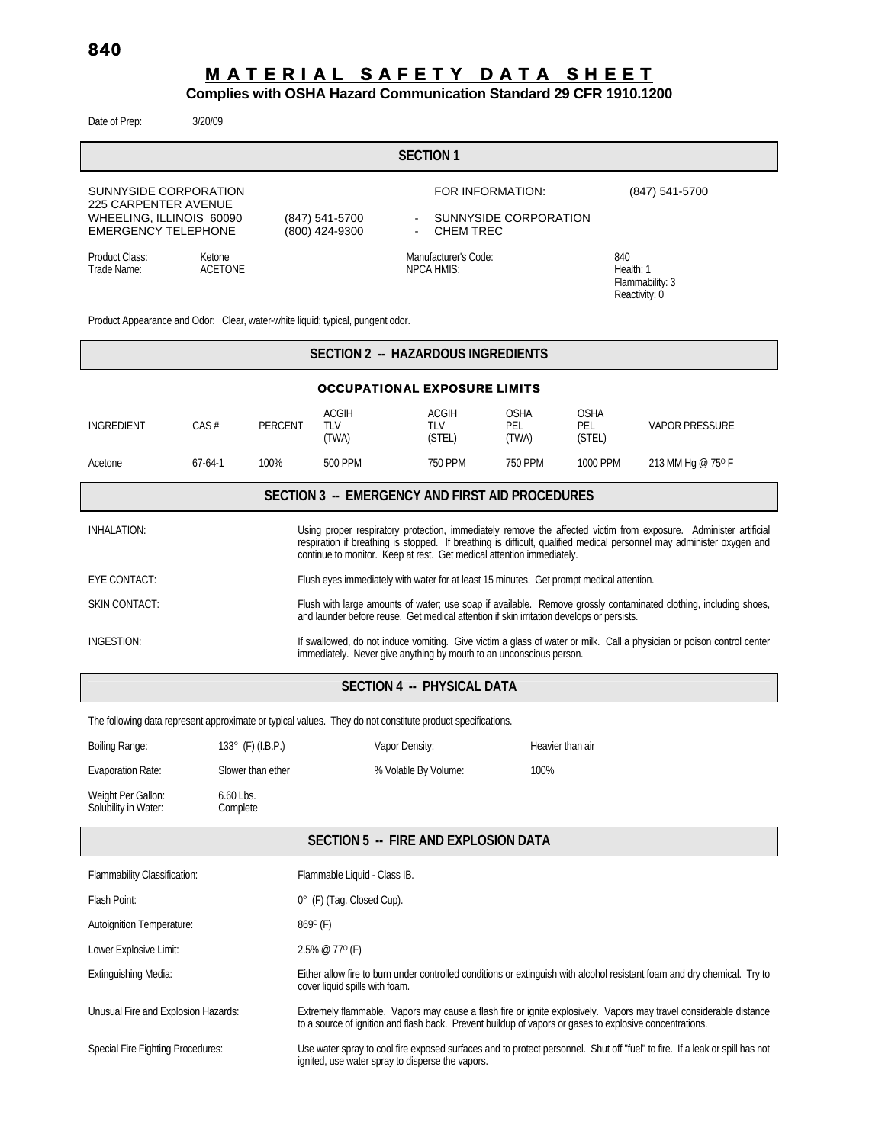# <u>MATERIAL SAFETY DATA SHEET</u>

#### **Complies with OSHA Hazard Communication Standard 29 CFR 1910.1200**

| Date of Prep:                                                                                           | 3/20/09                  |                                  |  |                                                               |                                                      |  |
|---------------------------------------------------------------------------------------------------------|--------------------------|----------------------------------|--|---------------------------------------------------------------|------------------------------------------------------|--|
|                                                                                                         | <b>SECTION 1</b>         |                                  |  |                                                               |                                                      |  |
| SUNNYSIDE CORPORATION<br>225 CARPENTER AVENUE<br>WHEELING, ILLINOIS 60090<br><b>EMERGENCY TELEPHONE</b> |                          | (847) 541-5700<br>(800) 424-9300 |  | FOR INFORMATION:<br>SUNNYSIDE CORPORATION<br><b>CHEM TREC</b> | (847) 541-5700                                       |  |
| Product Class:<br>Trade Name:                                                                           | Ketone<br><b>ACETONE</b> |                                  |  | Manufacturer's Code:<br><b>NPCA HMIS:</b>                     | 840<br>Health: 1<br>Flammability: 3<br>Reactivity: 0 |  |
| Product Appearance and Odor: Clear, water-white liquid; typical, pungent odor.                          |                          |                                  |  |                                                               |                                                      |  |
| SECTION 2 -- HAZARDOUS INGREDIENTS                                                                      |                          |                                  |  |                                                               |                                                      |  |
|                                                                                                         |                          |                                  |  |                                                               |                                                      |  |

| <b>OCCUPATIONAL EXPOSURE LIMITS</b>                                                                                                                                                                                                                                                                                               |                                                                                          |                                                                                                                                                                                                              |                                                                                                                                                                                              |                                      |                             |                              |                  |
|-----------------------------------------------------------------------------------------------------------------------------------------------------------------------------------------------------------------------------------------------------------------------------------------------------------------------------------|------------------------------------------------------------------------------------------|--------------------------------------------------------------------------------------------------------------------------------------------------------------------------------------------------------------|----------------------------------------------------------------------------------------------------------------------------------------------------------------------------------------------|--------------------------------------|-----------------------------|------------------------------|------------------|
| INGREDIENT                                                                                                                                                                                                                                                                                                                        | CAS#                                                                                     | PERCENT                                                                                                                                                                                                      | <b>ACGIH</b><br><b>TLV</b><br>(TWA)                                                                                                                                                          | <b>ACGIH</b><br><b>TLV</b><br>(STEL) | <b>OSHA</b><br>PEL<br>(TWA) | <b>OSHA</b><br>PEL<br>(STEL) | VAPOR PRESSURE   |
| Acetone                                                                                                                                                                                                                                                                                                                           | $67-64-1$                                                                                | 100%                                                                                                                                                                                                         | 500 PPM                                                                                                                                                                                      | 750 PPM                              | 750 PPM                     | 1000 PPM                     | 213 MM Hg @ 75°F |
| SECTION 3 -- EMERGENCY AND FIRST AID PROCEDURES                                                                                                                                                                                                                                                                                   |                                                                                          |                                                                                                                                                                                                              |                                                                                                                                                                                              |                                      |                             |                              |                  |
| Using proper respiratory protection, immediately remove the affected victim from exposure. Administer artificial<br>INHALATION:<br>respiration if breathing is stopped. If breathing is difficult, qualified medical personnel may administer oxygen and<br>continue to monitor. Keep at rest. Get medical attention immediately. |                                                                                          |                                                                                                                                                                                                              |                                                                                                                                                                                              |                                      |                             |                              |                  |
| EYE CONTACT:                                                                                                                                                                                                                                                                                                                      | Flush eyes immediately with water for at least 15 minutes. Get prompt medical attention. |                                                                                                                                                                                                              |                                                                                                                                                                                              |                                      |                             |                              |                  |
| SKIN CONTACT:                                                                                                                                                                                                                                                                                                                     |                                                                                          | Flush with large amounts of water; use soap if available. Remove grossly contaminated clothing, including shoes,<br>and launder before reuse. Get medical attention if skin irritation develops or persists. |                                                                                                                                                                                              |                                      |                             |                              |                  |
| INGESTION:                                                                                                                                                                                                                                                                                                                        |                                                                                          |                                                                                                                                                                                                              | If swallowed, do not induce vomiting. Give victim a glass of water or milk. Call a physician or poison control center<br>immediately. Never give anything by mouth to an unconscious person. |                                      |                             |                              |                  |

## **SECTION 4 -- PHYSICAL DATA**

The following data represent approximate or typical values. They do not constitute product specifications.

| Boiling Range:                             | 133 $^{\circ}$ (F) (I.B.P.) | Vapor Density:        | Heavier than air |
|--------------------------------------------|-----------------------------|-----------------------|------------------|
| Evaporation Rate:                          | Slower than ether           | % Volatile By Volume: | 100%             |
| Weight Per Gallon:<br>Solubility in Water: | $6.60$ Lbs.<br>Complete     |                       |                  |

| SECTION 5 -- FIRE AND EXPLOSION DATA     |                                                                                                                                                                                                                              |  |  |  |
|------------------------------------------|------------------------------------------------------------------------------------------------------------------------------------------------------------------------------------------------------------------------------|--|--|--|
| Flammability Classification:             | Flammable Liquid - Class IB.                                                                                                                                                                                                 |  |  |  |
| Flash Point:                             | 0° (F) (Tag. Closed Cup).                                                                                                                                                                                                    |  |  |  |
| Autoignition Temperature:                | $869^{\circ}$ (F)                                                                                                                                                                                                            |  |  |  |
| Lower Explosive Limit:                   | $2.5\% \ @ \ 77^{\circ}$ (F)                                                                                                                                                                                                 |  |  |  |
| Extinguishing Media:                     | Either allow fire to burn under controlled conditions or extinguish with alcohol resistant foam and dry chemical. Try to<br>cover liquid spills with foam.                                                                   |  |  |  |
| Unusual Fire and Explosion Hazards:      | Extremely flammable. Vapors may cause a flash fire or ignite explosively. Vapors may travel considerable distance<br>to a source of ignition and flash back. Prevent buildup of vapors or gases to explosive concentrations. |  |  |  |
| <b>Special Fire Fighting Procedures:</b> | Use water spray to cool fire exposed surfaces and to protect personnel. Shut off "fuel" to fire. If a leak or spill has not<br>ignited, use water spray to disperse the vapors.                                              |  |  |  |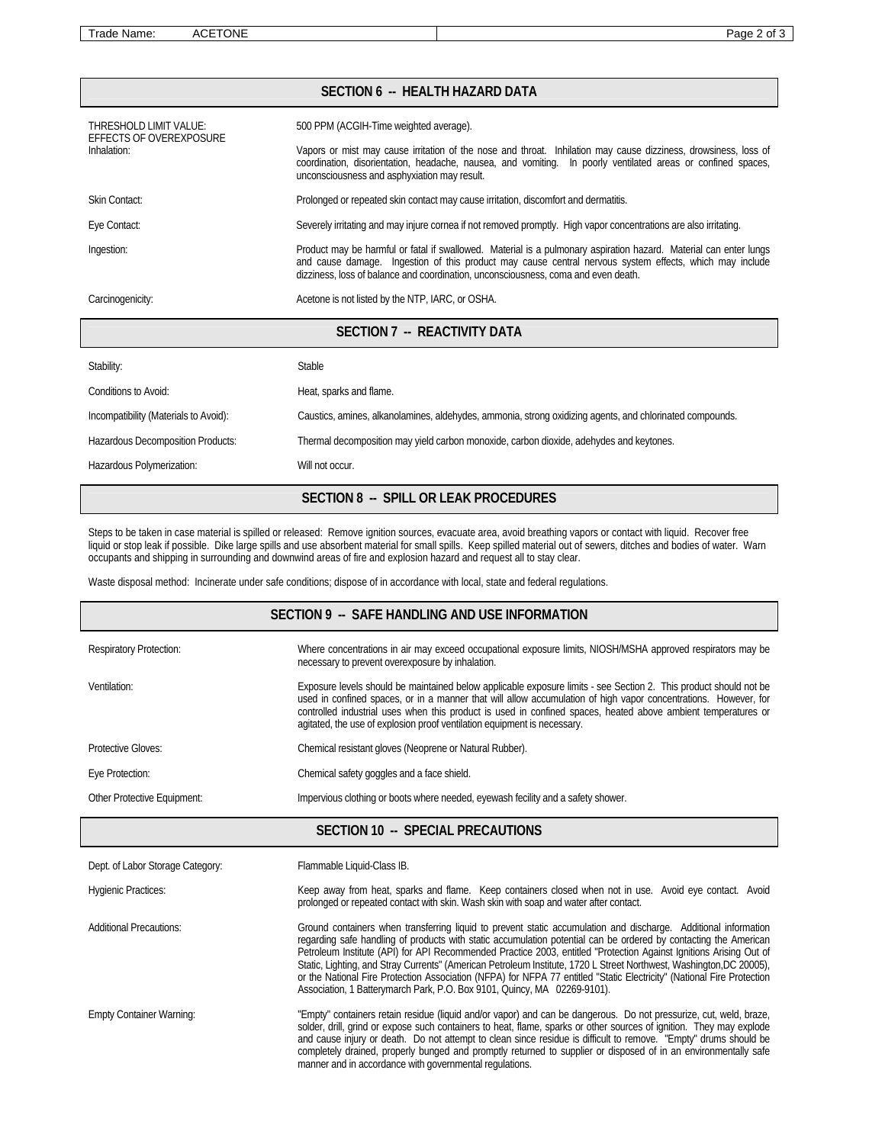Trade Name: ACETONE Page 2 of 3

٦

| SECTION 6 -- HEALTH HAZARD DATA                   |                                                                                                                                                                                                                                                                                                                    |  |  |
|---------------------------------------------------|--------------------------------------------------------------------------------------------------------------------------------------------------------------------------------------------------------------------------------------------------------------------------------------------------------------------|--|--|
| THRESHOLD LIMIT VALUE:<br>EFFECTS OF OVEREXPOSURE | 500 PPM (ACGIH-Time weighted average).                                                                                                                                                                                                                                                                             |  |  |
| Inhalation:                                       | Vapors or mist may cause irritation of the nose and throat. Inhilation may cause dizziness, drowsiness, loss of<br>coordination, disorientation, headache, nausea, and vomiting. In poorly ventilated areas or confined spaces,<br>unconsciousness and asphyxiation may result.                                    |  |  |
| Skin Contact:                                     | Prolonged or repeated skin contact may cause irritation, discomfort and dermatitis.                                                                                                                                                                                                                                |  |  |
| Eye Contact:                                      | Severely irritating and may injure cornea if not removed promptly. High vapor concentrations are also irritating.                                                                                                                                                                                                  |  |  |
| Ingestion:                                        | Product may be harmful or fatal if swallowed. Material is a pulmonary aspiration hazard. Material can enter lungs<br>and cause damage. Ingestion of this product may cause central nervous system effects, which may include<br>dizziness, loss of balance and coordination, unconsciousness, coma and even death. |  |  |
| Carcinogenicity:                                  | Acetone is not listed by the NTP, IARC, or OSHA.                                                                                                                                                                                                                                                                   |  |  |
| SECTION 7 -- REACTIVITY DATA                      |                                                                                                                                                                                                                                                                                                                    |  |  |
| Stability:                                        | Stable                                                                                                                                                                                                                                                                                                             |  |  |
| Conditions to Avoid:                              | Heat, sparks and flame.                                                                                                                                                                                                                                                                                            |  |  |
| Incompatibility (Materials to Avoid):             | Caustics, amines, alkanolamines, aldehydes, ammonia, strong oxidizing agents, and chlorinated compounds.                                                                                                                                                                                                           |  |  |
| Hazardous Decomposition Products:                 | Thermal decomposition may yield carbon monoxide, carbon dioxide, adehydes and keytones.                                                                                                                                                                                                                            |  |  |
| Hazardous Polymerization:                         | Will not occur.                                                                                                                                                                                                                                                                                                    |  |  |

#### **SECTION 8 -- SPILL OR LEAK PROCEDURES**

Steps to be taken in case material is spilled or released: Remove ignition sources, evacuate area, avoid breathing vapors or contact with liquid. Recover free liquid or stop leak if possible. Dike large spills and use absorbent material for small spills. Keep spilled material out of sewers, ditches and bodies of water. Warn occupants and shipping in surrounding and downwind areas of fire and explosion hazard and request all to stay clear.

Waste disposal method: Incinerate under safe conditions; dispose of in accordance with local, state and federal regulations.

|                                   | SECTION 9 -- SAFE HANDLING AND USE INFORMATION                                                                                                                                                                                                                                                                                                                                                                                    |  |  |
|-----------------------------------|-----------------------------------------------------------------------------------------------------------------------------------------------------------------------------------------------------------------------------------------------------------------------------------------------------------------------------------------------------------------------------------------------------------------------------------|--|--|
| <b>Respiratory Protection:</b>    | Where concentrations in air may exceed occupational exposure limits, NIOSH/MSHA approved respirators may be<br>necessary to prevent overexposure by inhalation.                                                                                                                                                                                                                                                                   |  |  |
| Ventilation:                      | Exposure levels should be maintained below applicable exposure limits - see Section 2. This product should not be<br>used in confined spaces, or in a manner that will allow accumulation of high vapor concentrations. However, for<br>controlled industrial uses when this product is used in confined spaces, heated above ambient temperatures or<br>agitated, the use of explosion proof ventilation equipment is necessary. |  |  |
| Protective Gloves:                | Chemical resistant gloves (Neoprene or Natural Rubber).                                                                                                                                                                                                                                                                                                                                                                           |  |  |
| Eye Protection:                   | Chemical safety goggles and a face shield.                                                                                                                                                                                                                                                                                                                                                                                        |  |  |
| Other Protective Equipment:       | Impervious clothing or boots where needed, eyewash fecility and a safety shower.                                                                                                                                                                                                                                                                                                                                                  |  |  |
| SECTION 10 -- SPECIAL PRECAUTIONS |                                                                                                                                                                                                                                                                                                                                                                                                                                   |  |  |

| Dept. of Labor Storage Category: | Flammable Liquid-Class IB.                                                                                                                                                                                                                                                                                                                                                                                                                                                                                                                                                                                                                                                              |
|----------------------------------|-----------------------------------------------------------------------------------------------------------------------------------------------------------------------------------------------------------------------------------------------------------------------------------------------------------------------------------------------------------------------------------------------------------------------------------------------------------------------------------------------------------------------------------------------------------------------------------------------------------------------------------------------------------------------------------------|
| <b>Hygienic Practices:</b>       | Keep away from heat, sparks and flame. Keep containers closed when not in use. Avoid eye contact. Avoid<br>prolonged or repeated contact with skin. Wash skin with soap and water after contact.                                                                                                                                                                                                                                                                                                                                                                                                                                                                                        |
| <b>Additional Precautions:</b>   | Ground containers when transferring liquid to prevent static accumulation and discharge. Additional information<br>regarding safe handling of products with static accumulation potential can be ordered by contacting the American<br>Petroleum Institute (API) for API Recommended Practice 2003, entitled "Protection Against Ignitions Arising Out of<br>Static, Lighting, and Stray Currents" (American Petroleum Institute, 1720 L Street Northwest, Washington, DC 20005),<br>or the National Fire Protection Association (NFPA) for NFPA 77 entitled "Static Electricity" (National Fire Protection<br>Association, 1 Batterymarch Park, P.O. Box 9101, Quincy, MA 02269-9101). |
| <b>Empty Container Warning:</b>  | "Empty" containers retain residue (liquid and/or vapor) and can be dangerous. Do not pressurize, cut, weld, braze,<br>solder, drill, grind or expose such containers to heat, flame, sparks or other sources of ignition. They may explode<br>and cause injury or death. Do not attempt to clean since residue is difficult to remove. "Empty" drums should be<br>completely drained, properly bunged and promptly returned to supplier or disposed of in an environmentally safe<br>manner and in accordance with governmental regulations.                                                                                                                                            |